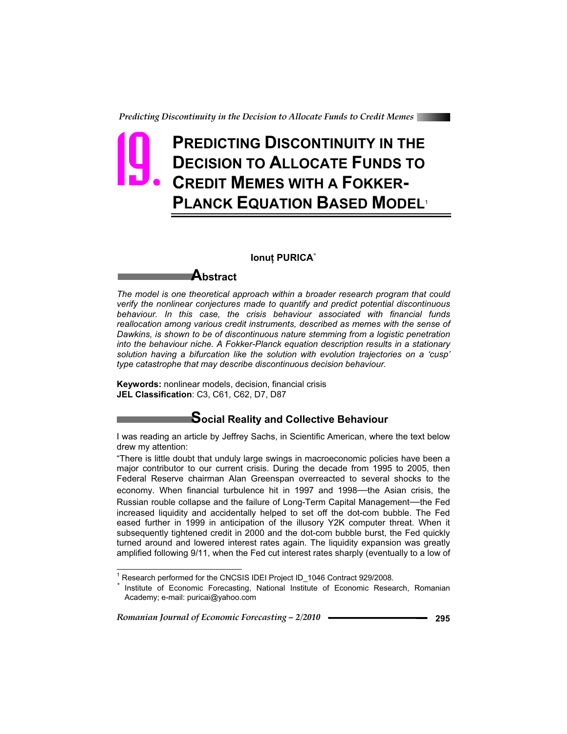# **PREDICTING DISCONTINUITY IN THE DECISION TO ALLOCATE FUNDS TO CREDIT MEMES WITH A FOKKER-PLANCK EQUATION BASED MODEL**<sup>1</sup> Preacting

#### **Ionut PURICA<sup>\*</sup>**

## **Abstract**

*The model is one theoretical approach within a broader research program that could verify the nonlinear conjectures made to quantify and predict potential discontinuous behaviour. In this case, the crisis behaviour associated with financial funds reallocation among various credit instruments, described as memes with the sense of Dawkins, is shown to be of discontinuous nature stemming from a logistic penetration into the behaviour niche. A Fokker-Planck equation description results in a stationary solution having a bifurcation like the solution with evolution trajectories on a 'cusp' type catastrophe that may describe discontinuous decision behaviour.* 

**Keywords:** nonlinear models, decision, financial crisis **JEL Classification**: C3, C61, C62, D7, D87

## **Social Reality and Collective Behaviour**

I was reading an article by Jeffrey Sachs, in Scientific American, where the text below drew my attention:

"There is little doubt that unduly large swings in macroeconomic policies have been a major contributor to our current crisis. During the decade from 1995 to 2005, then Federal Reserve chairman Alan Greenspan overreacted to several shocks to the economy. When financial turbulence hit in 1997 and 1998—the Asian crisis, the Russian rouble collapse and the failure of Long-Term Capital Management—the Fed increased liquidity and accidentally helped to set off the dot-com bubble. The Fed eased further in 1999 in anticipation of the illusory Y2K computer threat. When it subsequently tightened credit in 2000 and the dot-com bubble burst, the Fed quickly turned around and lowered interest rates again. The liquidity expansion was greatly amplified following 9/11, when the Fed cut interest rates sharply (eventually to a low of

*Romanian Journal of Economic Forecasting – 2/2010* **295**

 $\overline{a}$ 

<sup>&</sup>lt;sup>1</sup> Research performed for the CNCSIS IDEI Project ID\_1046 Contract 929/2008.

Institute of Economic Forecasting, National Institute of Economic Research, Romanian Academy; e-mail: puricai@yahoo.com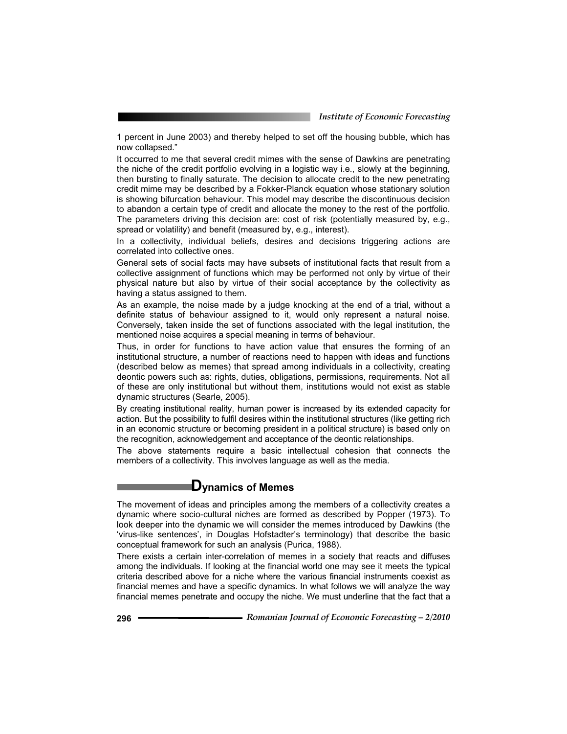1 percent in June 2003) and thereby helped to set off the housing bubble, which has now collapsed."

It occurred to me that several credit mimes with the sense of Dawkins are penetrating the niche of the credit portfolio evolving in a logistic way i.e., slowly at the beginning, then bursting to finally saturate. The decision to allocate credit to the new penetrating credit mime may be described by a Fokker-Planck equation whose stationary solution is showing bifurcation behaviour. This model may describe the discontinuous decision to abandon a certain type of credit and allocate the money to the rest of the portfolio. The parameters driving this decision are: cost of risk (potentially measured by, e.g., spread or volatility) and benefit (measured by, e.g., interest).

In a collectivity, individual beliefs, desires and decisions triggering actions are correlated into collective ones.

General sets of social facts may have subsets of institutional facts that result from a collective assignment of functions which may be performed not only by virtue of their physical nature but also by virtue of their social acceptance by the collectivity as having a status assigned to them.

As an example, the noise made by a judge knocking at the end of a trial, without a definite status of behaviour assigned to it, would only represent a natural noise. Conversely, taken inside the set of functions associated with the legal institution, the mentioned noise acquires a special meaning in terms of behaviour.

Thus, in order for functions to have action value that ensures the forming of an institutional structure, a number of reactions need to happen with ideas and functions (described below as memes) that spread among individuals in a collectivity, creating deontic powers such as: rights, duties, obligations, permissions, requirements. Not all of these are only institutional but without them, institutions would not exist as stable dynamic structures (Searle, 2005).

By creating institutional reality, human power is increased by its extended capacity for action. But the possibility to fulfil desires within the institutional structures (like getting rich in an economic structure or becoming president in a political structure) is based only on the recognition, acknowledgement and acceptance of the deontic relationships.

The above statements require a basic intellectual cohesion that connects the members of a collectivity. This involves language as well as the media.

## **Dynamics of Memes**

The movement of ideas and principles among the members of a collectivity creates a dynamic where socio-cultural niches are formed as described by Popper (1973). To look deeper into the dynamic we will consider the memes introduced by Dawkins (the 'virus-like sentences', in Douglas Hofstadter's terminology) that describe the basic conceptual framework for such an analysis (Purica, 1988).

There exists a certain inter-correlation of memes in a society that reacts and diffuses among the individuals. If looking at the financial world one may see it meets the typical criteria described above for a niche where the various financial instruments coexist as financial memes and have a specific dynamics. In what follows we will analyze the way financial memes penetrate and occupy the niche. We must underline that the fact that a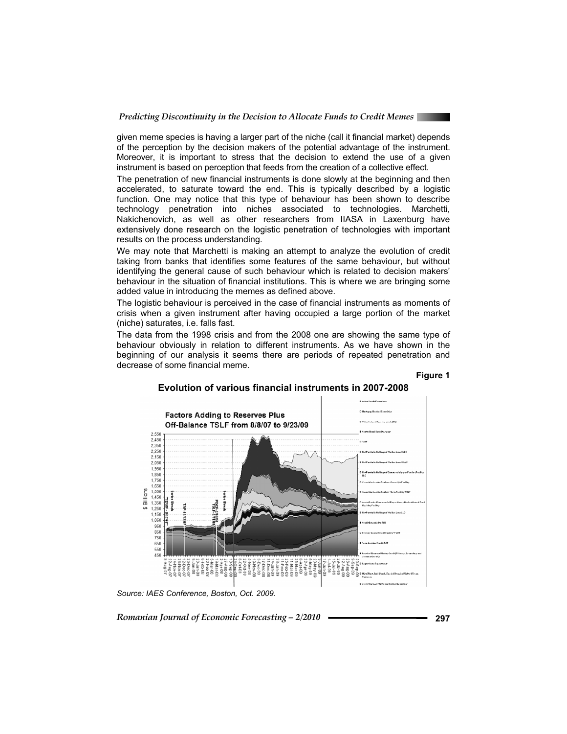

given meme species is having a larger part of the niche (call it financial market) depends of the perception by the decision makers of the potential advantage of the instrument. Moreover, it is important to stress that the decision to extend the use of a given instrument is based on perception that feeds from the creation of a collective effect.

The penetration of new financial instruments is done slowly at the beginning and then accelerated, to saturate toward the end. This is typically described by a logistic function. One may notice that this type of behaviour has been shown to describe technology penetration into niches associated to technologies. Marchetti, Nakichenovich, as well as other researchers from IIASA in Laxenburg have extensively done research on the logistic penetration of technologies with important results on the process understanding.

We may note that Marchetti is making an attempt to analyze the evolution of credit taking from banks that identifies some features of the same behaviour, but without identifying the general cause of such behaviour which is related to decision makers' behaviour in the situation of financial institutions. This is where we are bringing some added value in introducing the memes as defined above.

The logistic behaviour is perceived in the case of financial instruments as moments of crisis when a given instrument after having occupied a large portion of the market (niche) saturates, i.e. falls fast.

The data from the 1998 crisis and from the 2008 one are showing the same type of behaviour obviously in relation to different instruments. As we have shown in the beginning of our analysis it seems there are periods of repeated penetration and decrease of some financial meme.

#### **Figure 1**



### **Evolution of various financial instruments in 2007-2008**

*Source: IAES Conference, Boston, Oct. 2009.*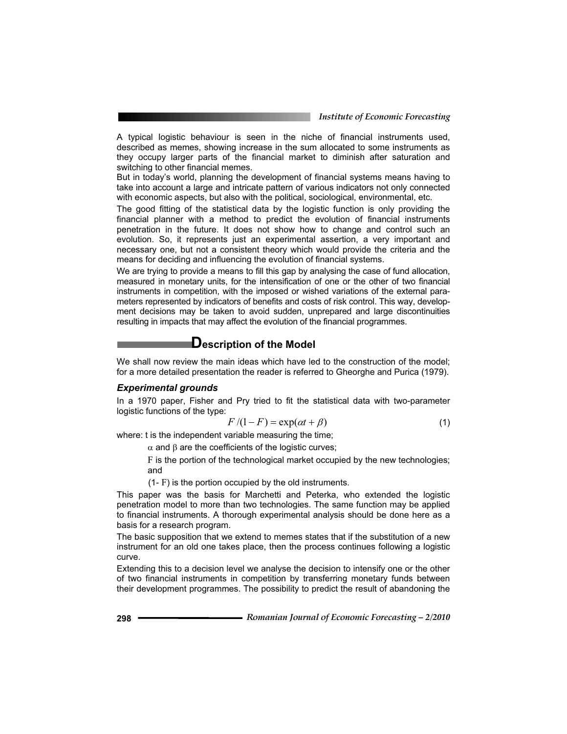A typical logistic behaviour is seen in the niche of financial instruments used, described as memes, showing increase in the sum allocated to some instruments as they occupy larger parts of the financial market to diminish after saturation and switching to other financial memes.

But in today's world, planning the development of financial systems means having to take into account a large and intricate pattern of various indicators not only connected with economic aspects, but also with the political, sociological, environmental, etc.

The good fitting of the statistical data by the logistic function is only providing the financial planner with a method to predict the evolution of financial instruments penetration in the future. It does not show how to change and control such an evolution. So, it represents just an experimental assertion, a very important and necessary one, but not a consistent theory which would provide the criteria and the means for deciding and influencing the evolution of financial systems.

We are trying to provide a means to fill this gap by analysing the case of fund allocation, measured in monetary units, for the intensification of one or the other of two financial instruments in competition, with the imposed or wished variations of the external parameters represented by indicators of benefits and costs of risk control. This way, development decisions may be taken to avoid sudden, unprepared and large discontinuities resulting in impacts that may affect the evolution of the financial programmes.

## **Description of the Model**

We shall now review the main ideas which have led to the construction of the model; for a more detailed presentation the reader is referred to Gheorghe and Purica (1979).

#### *Experimental grounds*

In a 1970 paper, Fisher and Pry tried to fit the statistical data with two-parameter logistic functions of the type:

$$
F/(1 - F) = \exp(\alpha t + \beta)
$$
 (1)

where: t is the independent variable measuring the time;

 $\alpha$  and  $\beta$  are the coefficients of the logistic curves;

F is the portion of the technological market occupied by the new technologies; and

(1- F) is the portion occupied by the old instruments.

This paper was the basis for Marchetti and Peterka, who extended the logistic penetration model to more than two technologies. The same function may be applied to financial instruments. A thorough experimental analysis should be done here as a basis for a research program.

The basic supposition that we extend to memes states that if the substitution of a new instrument for an old one takes place, then the process continues following a logistic curve.

Extending this to a decision level we analyse the decision to intensify one or the other of two financial instruments in competition by transferring monetary funds between their development programmes. The possibility to predict the result of abandoning the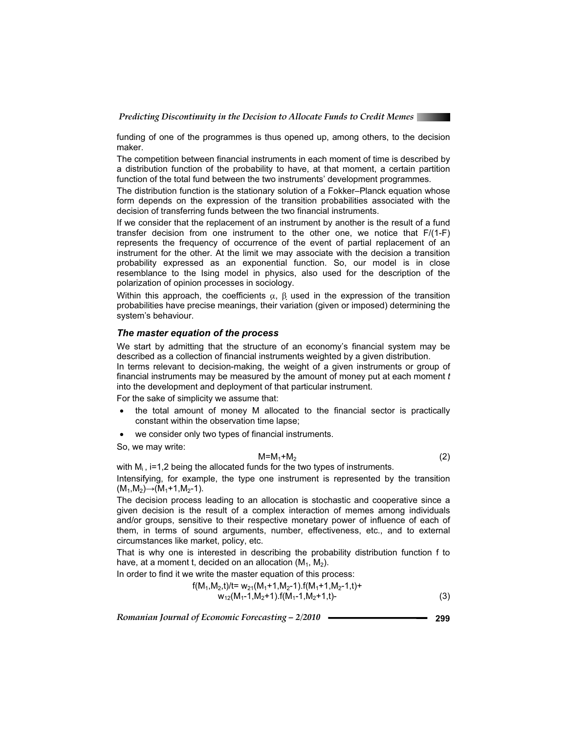

funding of one of the programmes is thus opened up, among others, to the decision maker.

The competition between financial instruments in each moment of time is described by a distribution function of the probability to have, at that moment, a certain partition function of the total fund between the two instruments' development programmes.

The distribution function is the stationary solution of a Fokker–Planck equation whose form depends on the expression of the transition probabilities associated with the decision of transferring funds between the two financial instruments.

If we consider that the replacement of an instrument by another is the result of a fund transfer decision from one instrument to the other one, we notice that F/(1-F) represents the frequency of occurrence of the event of partial replacement of an instrument for the other. At the limit we may associate with the decision a transition probability expressed as an exponential function. So, our model is in close resemblance to the Ising model in physics, also used for the description of the polarization of opinion processes in sociology.

Within this approach, the coefficients  $\alpha$ ,  $\beta$  used in the expression of the transition probabilities have precise meanings, their variation (given or imposed) determining the system's behaviour.

#### *The master equation of the process*

We start by admitting that the structure of an economy's financial system may be described as a collection of financial instruments weighted by a given distribution.

In terms relevant to decision-making, the weight of a given instruments or group of financial instruments may be measured by the amount of money put at each moment *t* into the development and deployment of that particular instrument.

For the sake of simplicity we assume that:

- x the total amount of money M allocated to the financial sector is practically constant within the observation time lapse;
- we consider only two types of financial instruments.

So, we may write:

$$
M=M_1+M_2\tag{2}
$$

with  $M_i$ , i=1,2 being the allocated funds for the two types of instruments. Intensifying, for example, the type one instrument is represented by the transition  $(M_1,M_2) \rightarrow (M_1+1,M_2-1)$ .

The decision process leading to an allocation is stochastic and cooperative since a given decision is the result of a complex interaction of memes among individuals and/or groups, sensitive to their respective monetary power of influence of each of them, in terms of sound arguments, number, effectiveness, etc., and to external circumstances like market, policy, etc.

That is why one is interested in describing the probability distribution function f to have, at a moment t, decided on an allocation  $(M_1, M_2)$ .

In order to find it we write the master equation of this process:

$$
f(M_1, M_2, t)/t = w_{21}(M_1 + 1, M_2 - 1).f(M_1 + 1, M_2 - 1, t) + w_{12}(M_1 - 1, M_2 + 1).f(M_1 - 1, M_2 + 1, t) -
$$
\n(3)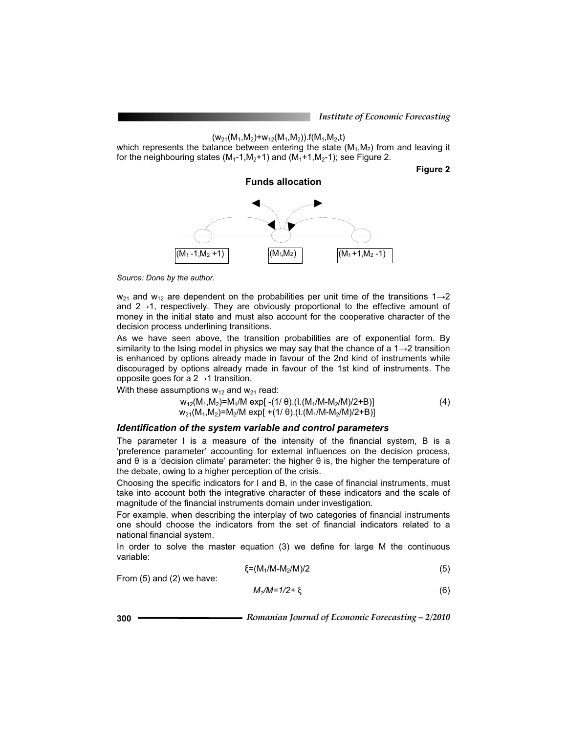$(w_{21}(M_1,M_2)+w_{12}(M_1,M_2))$ .f(M<sub>1</sub>,M<sub>2</sub>,t)

which represents the balance between entering the state  $(M_1, M_2)$  from and leaving it for the neighbouring states  $(M_1-1,M_2+1)$  and  $(M_1+1,M_2-1)$ ; see Figure 2.

**Figure 2** 



*Source: Done by the author.* 

 $w_{21}$  and  $w_{12}$  are dependent on the probabilities per unit time of the transitions 1 $\rightarrow$ 2 and  $2\rightarrow 1$ , respectively. They are obviously proportional to the effective amount of money in the initial state and must also account for the cooperative character of the decision process underlining transitions.

As we have seen above, the transition probabilities are of exponential form. By similarity to the Ising model in physics we may say that the chance of a  $1\rightarrow 2$  transition is enhanced by options already made in favour of the 2nd kind of instruments while discouraged by options already made in favour of the 1st kind of instruments. The opposite goes for a  $2\rightarrow 1$  transition.

With these assumptions  $w_{12}$  and  $w_{21}$  read:

$$
w_{12}(M_1, M_2) = M_1/M \exp[-(1/\theta) \cdot (1.(M_1/M - M_2/M)/2 + B)]
$$
  
\n
$$
w_{21}(M_1, M_2) = M_2/M \exp[+(1/\theta) \cdot (1.(M_1/M - M_2/M)/2 + B)]
$$
\n(4)

#### *Identification of the system variable and control parameters*

The parameter I is a measure of the intensity of the financial system, B is a 'preference parameter' accounting for external influences on the decision process, and  $\theta$  is a 'decision climate' parameter: the higher  $\theta$  is, the higher the temperature of the debate, owing to a higher perception of the crisis.

Choosing the specific indicators for I and B, in the case of financial instruments, must take into account both the integrative character of these indicators and the scale of magnitude of the financial instruments domain under investigation.

For example, when describing the interplay of two categories of financial instruments one should choose the indicators from the set of financial indicators related to a national financial system.

In order to solve the master equation (3) we define for large M the continuous variable:

$$
\xi = (M_1/M - M_2/M)/2 \tag{5}
$$

From (5) and (2) we have:

$$
M_1/M=1/2+\xi\tag{6}
$$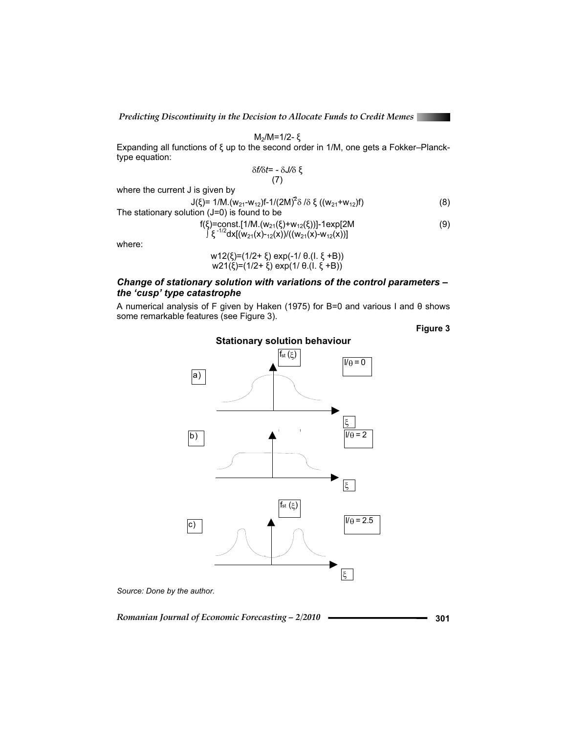$$
M_2/M = 1/2 - \xi
$$
  
Expanding all functions of  $\xi$  up to the second order in 1/M, one gets a Fokker–Planck-type equation:

$$
\delta f/\delta t = -\delta J/\delta \xi
$$
 (7)

where the current J is given by

| J(ξ)= 1/M.(w <sub>21</sub> -w <sub>12</sub> )f-1/(2M) <sup>2</sup> δ/δξ((w <sub>21</sub> +w <sub>12</sub> )f) | (8) |
|---------------------------------------------------------------------------------------------------------------|-----|
| The stationary solution $(J=0)$ is found to be                                                                |     |
| $f(\xi) = \text{const.} [1/M.(w_{21}(\xi)+w_{12}(\xi))]$ -1exp[2M                                             | (9) |
| $\int \xi^{-1/2} dx [(w_{21}(x)-12(x))/((w_{21}(x)-w_{12}(x)))]$                                              |     |

where:

w12(ξ)=(1/2+ ξ) exp(-1/ θ.(Ι. ξ +B)) w21(ξ)=(1/2+ ξ) exp(1/ θ.(Ι. ξ +B))

## *Change of stationary solution with variations of the control parameters – the 'cusp' type catastrophe*

A numerical analysis of F given by Haken (1975) for B=0 and various I and  $\theta$  shows some remarkable features (see Figure 3).

**Stationary solution behaviour** 

**Figure 3** 



*Source: Done by the author.*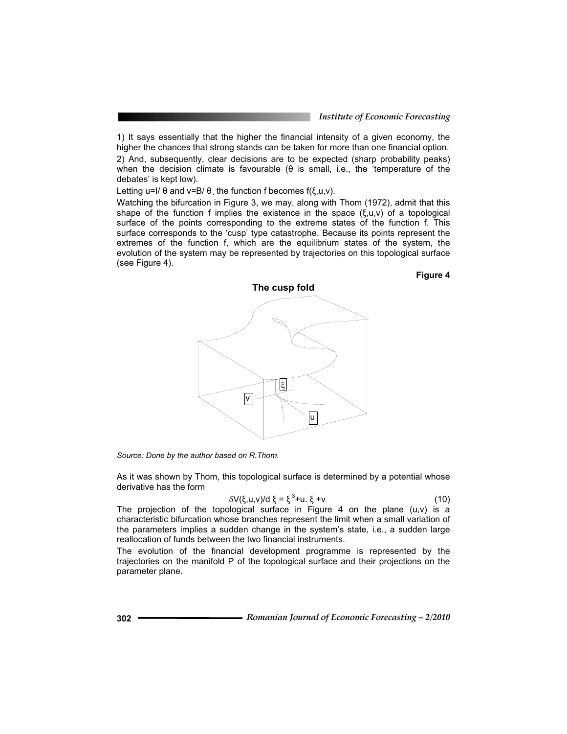**Figure 4** 

1) It says essentially that the higher the financial intensity of a given economy, the higher the chances that strong stands can be taken for more than one financial option. 2) And, subsequently, clear decisions are to be expected (sharp probability peaks)

when the decision climate is favourable  $(\theta$  is small, i.e., the 'temperature of the debates' is kept low).

Letting u=I/  $\theta$  and v=B/ $\theta$ , the function f becomes f( $\xi, u, v$ ).

Watching the bifurcation in Figure 3, we may, along with Thom (1972), admit that this shape of the function f implies the existence in the space  $(\xi, u, v)$  of a topological surface of the points corresponding to the extreme states of the function f. This surface corresponds to the 'cusp' type catastrophe. Because its points represent the extremes of the function f, which are the equilibrium states of the system, the evolution of the system may be represented by trajectories on this topological surface (see Figure 4).



*Source: Done by the author based on R.Thom.* 

As it was shown by Thom, this topological surface is determined by a potential whose derivative has the form

$$
\delta V(\xi, u, v)/d \xi = \xi^3 + u. \xi + v \tag{10}
$$

The projection of the topological surface in Figure 4 on the plane  $(u,v)$  is a characteristic bifurcation whose branches represent the limit when a small variation of the parameters implies a sudden change in the system's state, i.e., a sudden large reallocation of funds between the two financial instruments.

The evolution of the financial development programme is represented by the trajectories on the manifold P of the topological surface and their projections on the parameter plane.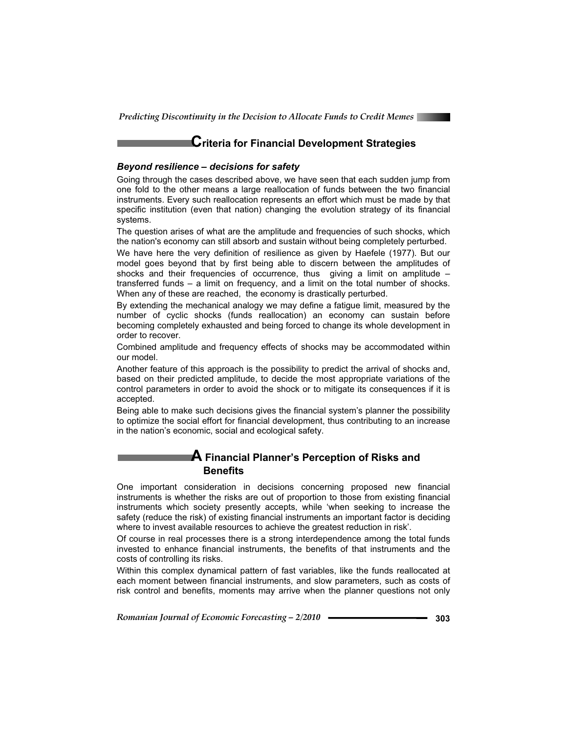

## **Criteria for Financial Development Strategies**

#### *Beyond resilience – decisions for safety*

Going through the cases described above, we have seen that each sudden jump from one fold to the other means a large reallocation of funds between the two financial instruments. Every such reallocation represents an effort which must be made by that specific institution (even that nation) changing the evolution strategy of its financial systems.

The question arises of what are the amplitude and frequencies of such shocks, which the nation's economy can still absorb and sustain without being completely perturbed.

We have here the very definition of resilience as given by Haefele (1977). But our model goes beyond that by first being able to discern between the amplitudes of shocks and their frequencies of occurrence, thus giving a limit on amplitude – transferred funds – a limit on frequency, and a limit on the total number of shocks. When any of these are reached, the economy is drastically perturbed.

By extending the mechanical analogy we may define a fatigue limit, measured by the number of cyclic shocks (funds reallocation) an economy can sustain before becoming completely exhausted and being forced to change its whole development in order to recover.

Combined amplitude and frequency effects of shocks may be accommodated within our model.

Another feature of this approach is the possibility to predict the arrival of shocks and, based on their predicted amplitude, to decide the most appropriate variations of the control parameters in order to avoid the shock or to mitigate its consequences if it is accepted.

Being able to make such decisions gives the financial system's planner the possibility to optimize the social effort for financial development, thus contributing to an increase in the nation's economic, social and ecological safety.

## **A Financial Planner's Perception of Risks and Benefits**

One important consideration in decisions concerning proposed new financial instruments is whether the risks are out of proportion to those from existing financial instruments which society presently accepts, while 'when seeking to increase the safety (reduce the risk) of existing financial instruments an important factor is deciding where to invest available resources to achieve the greatest reduction in risk'.

Of course in real processes there is a strong interdependence among the total funds invested to enhance financial instruments, the benefits of that instruments and the costs of controlling its risks.

Within this complex dynamical pattern of fast variables, like the funds reallocated at each moment between financial instruments, and slow parameters, such as costs of risk control and benefits, moments may arrive when the planner questions not only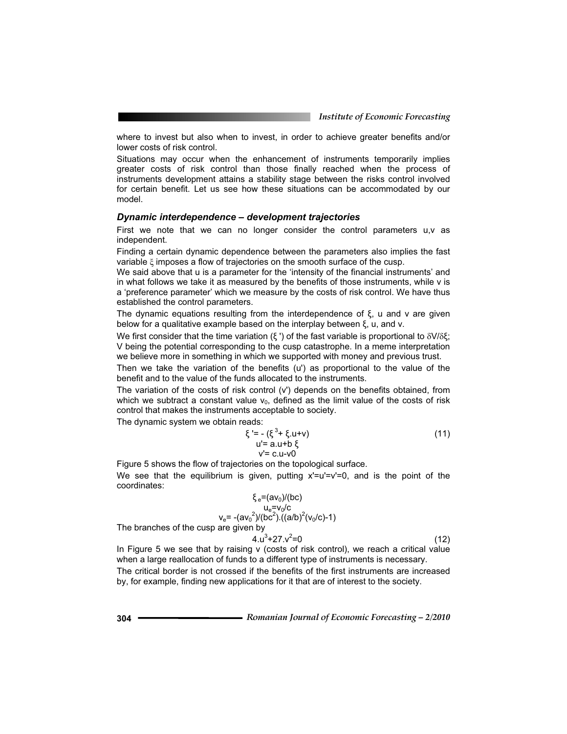where to invest but also when to invest, in order to achieve greater benefits and/or lower costs of risk control.

Situations may occur when the enhancement of instruments temporarily implies greater costs of risk control than those finally reached when the process of instruments development attains a stability stage between the risks control involved for certain benefit. Let us see how these situations can be accommodated by our model.

#### *Dynamic interdependence – development trajectories*

First we note that we can no longer consider the control parameters u,v as independent.

Finding a certain dynamic dependence between the parameters also implies the fast variable  $\xi$  imposes a flow of trajectories on the smooth surface of the cusp.

We said above that u is a parameter for the 'intensity of the financial instruments' and in what follows we take it as measured by the benefits of those instruments, while v is a 'preference parameter' which we measure by the costs of risk control. We have thus established the control parameters.

The dynamic equations resulting from the interdependence of  $\xi$ , u and v are given below for a qualitative example based on the interplay between  $\xi$ , u, and v.

We first consider that the time variation (ξ ') of the fast variable is proportional to  $δV/δξ;$ V being the potential corresponding to the cusp catastrophe. In a meme interpretation we believe more in something in which we supported with money and previous trust.

Then we take the variation of the benefits (u') as proportional to the value of the benefit and to the value of the funds allocated to the instruments.

The variation of the costs of risk control (v') depends on the benefits obtained, from which we subtract a constant value  $v_0$ , defined as the limit value of the costs of risk control that makes the instruments acceptable to society.

The dynamic system we obtain reads:

$$
\xi' = -(\xi^3 + \xi.u + v) \nu' = a.u + b \xi \nu' = c.u - v0
$$
\n(11)

Figure 5 shows the flow of trajectories on the topological surface. We see that the equilibrium is given, putting  $x'=u'=v'=0$ , and is the point of the coordinates:

$$
\xi_e = (av_0)/(bc)
$$
  
\n
$$
v_e = -(av_0^2)/(bc^2).
$$
  
\nThe branches of the cusp are given by

$$
4. u3 + 27. v2 = 0
$$
 (12)

In Figure 5 we see that by raising v (costs of risk control), we reach a critical value when a large reallocation of funds to a different type of instruments is necessary.

The critical border is not crossed if the benefits of the first instruments are increased by, for example, finding new applications for it that are of interest to the society.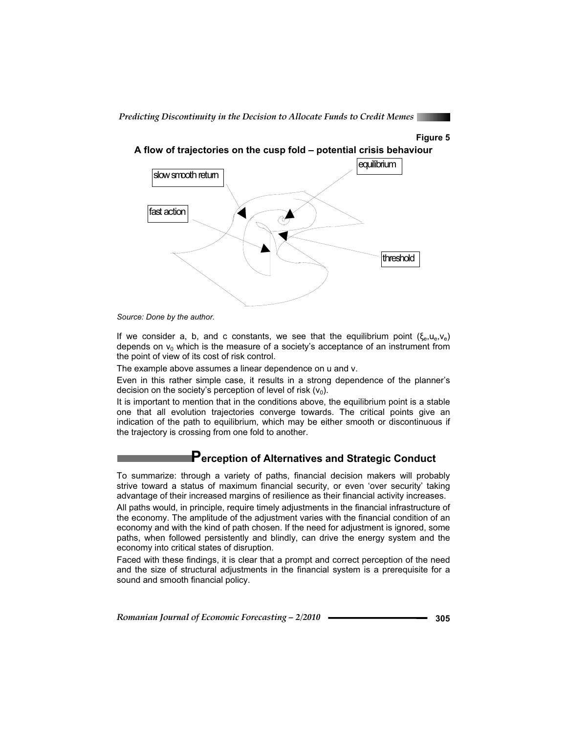





*Source: Done by the author.* 

If we consider a, b, and c constants, we see that the equilibrium point  $(\xi_{e},u_{e},v_{e})$ depends on  $v_0$  which is the measure of a society's acceptance of an instrument from the point of view of its cost of risk control.

The example above assumes a linear dependence on u and v.

Even in this rather simple case, it results in a strong dependence of the planner's decision on the society's perception of level of risk  $(v_0)$ .

It is important to mention that in the conditions above, the equilibrium point is a stable one that all evolution trajectories converge towards. The critical points give an indication of the path to equilibrium, which may be either smooth or discontinuous if the trajectory is crossing from one fold to another.

## **Perception of Alternatives and Strategic Conduct**

To summarize: through a variety of paths, financial decision makers will probably strive toward a status of maximum financial security, or even 'over security' taking advantage of their increased margins of resilience as their financial activity increases.

All paths would, in principle, require timely adjustments in the financial infrastructure of the economy. The amplitude of the adjustment varies with the financial condition of an economy and with the kind of path chosen. If the need for adjustment is ignored, some paths, when followed persistently and blindly, can drive the energy system and the economy into critical states of disruption.

Faced with these findings, it is clear that a prompt and correct perception of the need and the size of structural adjustments in the financial system is a prerequisite for a sound and smooth financial policy.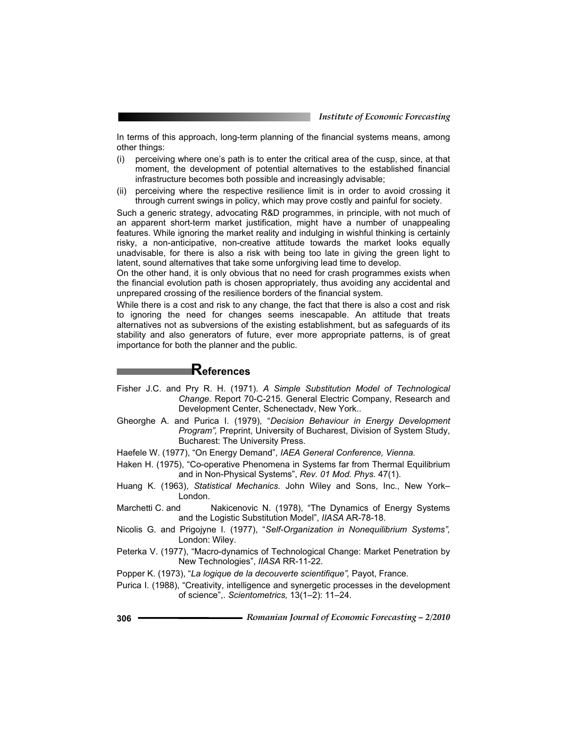In terms of this approach, long-term planning of the financial systems means, among other things:

- (i) perceiving where one's path is to enter the critical area of the cusp, since, at that moment, the development of potential alternatives to the established financial infrastructure becomes both possible and increasingly advisable;
- (ii) perceiving where the respective resilience limit is in order to avoid crossing it through current swings in policy, which may prove costly and painful for society.

Such a generic strategy, advocating R&D programmes, in principle, with not much of an apparent short-term market justification, might have a number of unappealing features. While ignoring the market reality and indulging in wishful thinking is certainly risky, a non-anticipative, non-creative attitude towards the market looks equally unadvisable, for there is also a risk with being too late in giving the green light to latent, sound alternatives that take some unforgiving lead time to develop.

On the other hand, it is only obvious that no need for crash programmes exists when the financial evolution path is chosen appropriately, thus avoiding any accidental and unprepared crossing of the resilience borders of the financial system.

While there is a cost and risk to any change, the fact that there is also a cost and risk to ignoring the need for changes seems inescapable. An attitude that treats alternatives not as subversions of the existing establishment, but as safeguards of its stability and also generators of future, ever more appropriate patterns, is of great importance for both the planner and the public.

## **References**

- Fisher J.C. and Pry R. H. (1971). *A Simple Substitution Model of Technological Change.* Report 70-C-215. General Electric Company, Research and Development Center, Schenectadv, New York..
- Gheorghe A. and Purica I. (1979), "*Decision Behaviour in Energy Development Program",* Preprint, University of Bucharest, Division of System Study, Bucharest: The University Press.
- Haefele W. (1977), "On Energy Demand", *IAEA General Conference, Vienna.*
- Haken H. (1975), "Co-operative Phenomena in Systems far from Thermal Equilibrium and in Non-Physical Systems", *Rev. 01 Mod. Phys.* 47(1).
- Huang K. (1963), *Statistical Mechanics.* John Wiley and Sons, Inc., New York– London.
- Marchetti C. and Makicenovic N. (1978), "The Dynamics of Energy Systems and the Logistic Substitution Model", *IIASA* AR-78-18.
- Nicolis G. and Prigojyne I. (1977), "*Self-Organization in Nonequilibrium Systems",* London: Wiley.
- Peterka V. (1977), "Macro-dynamics of Technological Change: Market Penetration by New Technologies", *IIASA* RR-11-22.
- Popper K. (1973), "*La logique de la decouverte scientifique",* Payot, France.
- Purica I. (1988), "Creativity, intelligence and synergetic processes in the development of science",. *Scientometrics,* 13(1–2): 11–24.